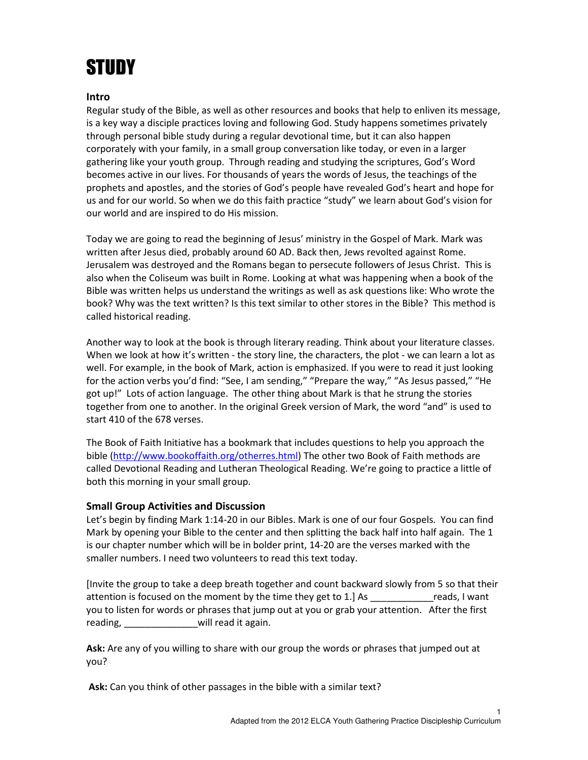## **STUDY**

## Intro

Regular study of the Bible, as well as other resources and books that help to enliven its message, is a key way a disciple practices loving and following God. Study happens sometimes privately through personal bible study during a regular devotional time, but it can also happen corporately with your family, in a small group conversation like today, or even in a larger gathering like your youth group. Through reading and studying the scriptures, God's Word becomes active in our lives. For thousands of years the words of Jesus, the teachings of the prophets and apostles, and the stories of God's people have revealed God's heart and hope for us and for our world. So when we do this faith practice "study" we learn about God's vision for our world and are inspired to do His mission.

Today we are going to read the beginning of Jesus' ministry in the Gospel of Mark. Mark was written after Jesus died, probably around 60 AD. Back then, Jews revolted against Rome. Jerusalem was destroyed and the Romans began to persecute followers of Jesus Christ. This is also when the Coliseum was built in Rome. Looking at what was happening when a book of the Bible was written helps us understand the writings as well as ask questions like: Who wrote the book? Why was the text written? Is this text similar to other stores in the Bible? This method is called historical reading.

Another way to look at the book is through literary reading. Think about your literature classes. When we look at how it's written - the story line, the characters, the plot - we can learn a lot as well. For example, in the book of Mark, action is emphasized. If you were to read it just looking for the action verbs you'd find: "See, I am sending," "Prepare the way," "As Jesus passed," "He got up!" Lots of action language. The other thing about Mark is that he strung the stories together from one to another. In the original Greek version of Mark, the word "and" is used to start 410 of the 678 verses.

The Book of Faith Initiative has a bookmark that includes questions to help you approach the bible (http://www.bookoffaith.org/otherres.html) The other two Book of Faith methods are called Devotional Reading and Lutheran Theological Reading. We're going to practice a little of both this morning in your small group.

## Small Group Activities and Discussion

Let's begin by finding Mark 1:14-20 in our Bibles. Mark is one of our four Gospels. You can find Mark by opening your Bible to the center and then splitting the back half into half again. The 1 is our chapter number which will be in bolder print, 14-20 are the verses marked with the smaller numbers. I need two volunteers to read this text today.

[Invite the group to take a deep breath together and count backward slowly from 5 so that their attention is focused on the moment by the time they get to 1.] As \_\_\_\_\_\_\_\_\_\_\_\_reads, I want you to listen for words or phrases that jump out at you or grab your attention. After the first reading, will read it again.

Ask: Are any of you willing to share with our group the words or phrases that jumped out at you?

Ask: Can you think of other passages in the bible with a similar text?